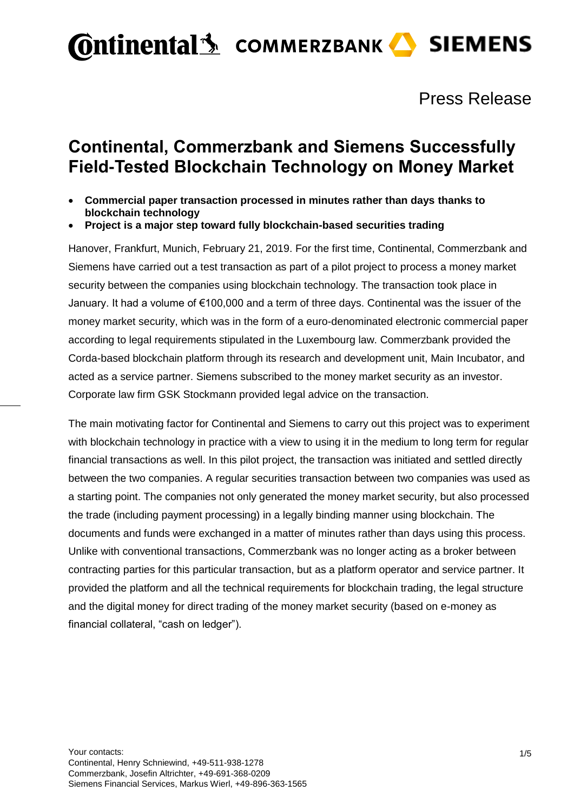Press Release

## **Continental, Commerzbank and Siemens Successfully Field-Tested Blockchain Technology on Money Market**

- **Commercial paper transaction processed in minutes rather than days thanks to blockchain technology**
- **Project is a major step toward fully blockchain-based securities trading**

Hanover, Frankfurt, Munich, February 21, 2019. For the first time, Continental, Commerzbank and Siemens have carried out a test transaction as part of a pilot project to process a money market security between the companies using blockchain technology. The transaction took place in January. It had a volume of €100,000 and a term of three days. Continental was the issuer of the money market security, which was in the form of a euro-denominated electronic commercial paper according to legal requirements stipulated in the Luxembourg law. Commerzbank provided the Corda-based blockchain platform through its research and development unit, Main Incubator, and acted as a service partner. Siemens subscribed to the money market security as an investor. Corporate law firm GSK Stockmann provided legal advice on the transaction.

The main motivating factor for Continental and Siemens to carry out this project was to experiment with blockchain technology in practice with a view to using it in the medium to long term for regular financial transactions as well. In this pilot project, the transaction was initiated and settled directly between the two companies. A regular securities transaction between two companies was used as a starting point. The companies not only generated the money market security, but also processed the trade (including payment processing) in a legally binding manner using blockchain. The documents and funds were exchanged in a matter of minutes rather than days using this process. Unlike with conventional transactions, Commerzbank was no longer acting as a broker between contracting parties for this particular transaction, but as a platform operator and service partner. It provided the platform and all the technical requirements for blockchain trading, the legal structure and the digital money for direct trading of the money market security (based on e-money as financial collateral, "cash on ledger").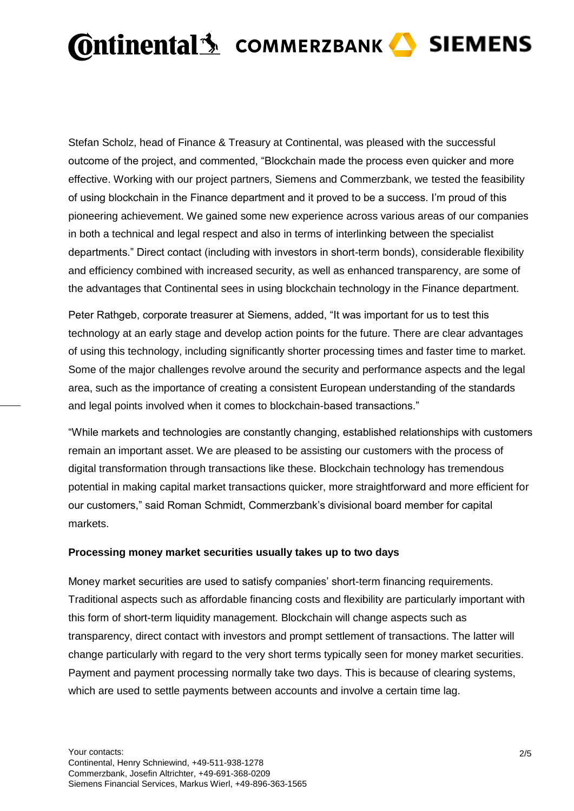Stefan Scholz, head of Finance & Treasury at Continental, was pleased with the successful outcome of the project, and commented, "Blockchain made the process even quicker and more effective. Working with our project partners, Siemens and Commerzbank, we tested the feasibility of using blockchain in the Finance department and it proved to be a success. I'm proud of this pioneering achievement. We gained some new experience across various areas of our companies in both a technical and legal respect and also in terms of interlinking between the specialist departments." Direct contact (including with investors in short-term bonds), considerable flexibility and efficiency combined with increased security, as well as enhanced transparency, are some of the advantages that Continental sees in using blockchain technology in the Finance department.

Peter Rathgeb, corporate treasurer at Siemens, added, "It was important for us to test this technology at an early stage and develop action points for the future. There are clear advantages of using this technology, including significantly shorter processing times and faster time to market. Some of the major challenges revolve around the security and performance aspects and the legal area, such as the importance of creating a consistent European understanding of the standards and legal points involved when it comes to blockchain-based transactions."

"While markets and technologies are constantly changing, established relationships with customers remain an important asset. We are pleased to be assisting our customers with the process of digital transformation through transactions like these. Blockchain technology has tremendous potential in making capital market transactions quicker, more straightforward and more efficient for our customers," said Roman Schmidt, Commerzbank's divisional board member for capital markets.

### **Processing money market securities usually takes up to two days**

Money market securities are used to satisfy companies' short-term financing requirements. Traditional aspects such as affordable financing costs and flexibility are particularly important with this form of short-term liquidity management. Blockchain will change aspects such as transparency, direct contact with investors and prompt settlement of transactions. The latter will change particularly with regard to the very short terms typically seen for money market securities. Payment and payment processing normally take two days. This is because of clearing systems, which are used to settle payments between accounts and involve a certain time lag.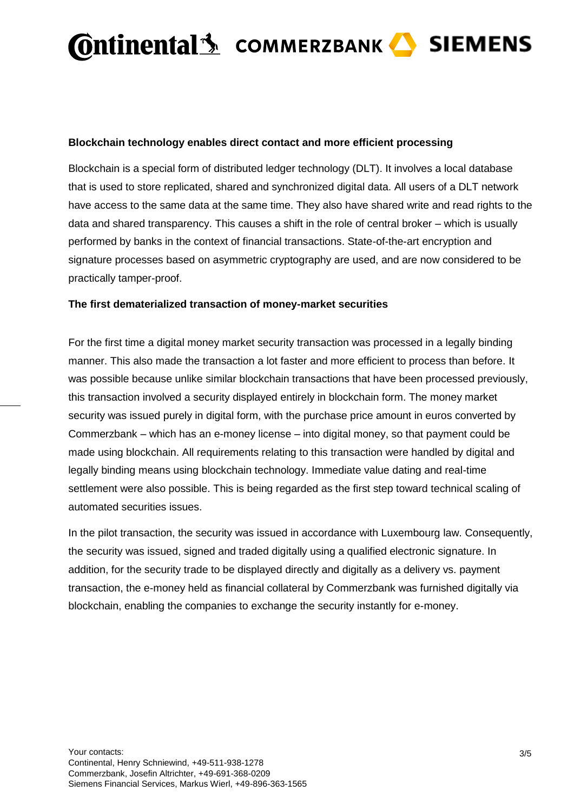#### **Blockchain technology enables direct contact and more efficient processing**

Blockchain is a special form of distributed ledger technology (DLT). It involves a local database that is used to store replicated, shared and synchronized digital data. All users of a DLT network have access to the same data at the same time. They also have shared write and read rights to the data and shared transparency. This causes a shift in the role of central broker – which is usually performed by banks in the context of financial transactions. State-of-the-art encryption and signature processes based on asymmetric cryptography are used, and are now considered to be practically tamper-proof.

#### **The first dematerialized transaction of money-market securities**

For the first time a digital money market security transaction was processed in a legally binding manner. This also made the transaction a lot faster and more efficient to process than before. It was possible because unlike similar blockchain transactions that have been processed previously, this transaction involved a security displayed entirely in blockchain form. The money market security was issued purely in digital form, with the purchase price amount in euros converted by Commerzbank – which has an e-money license – into digital money, so that payment could be made using blockchain. All requirements relating to this transaction were handled by digital and legally binding means using blockchain technology. Immediate value dating and real-time settlement were also possible. This is being regarded as the first step toward technical scaling of automated securities issues.

In the pilot transaction, the security was issued in accordance with Luxembourg law. Consequently, the security was issued, signed and traded digitally using a qualified electronic signature. In addition, for the security trade to be displayed directly and digitally as a delivery vs. payment transaction, the e-money held as financial collateral by Commerzbank was furnished digitally via blockchain, enabling the companies to exchange the security instantly for e-money.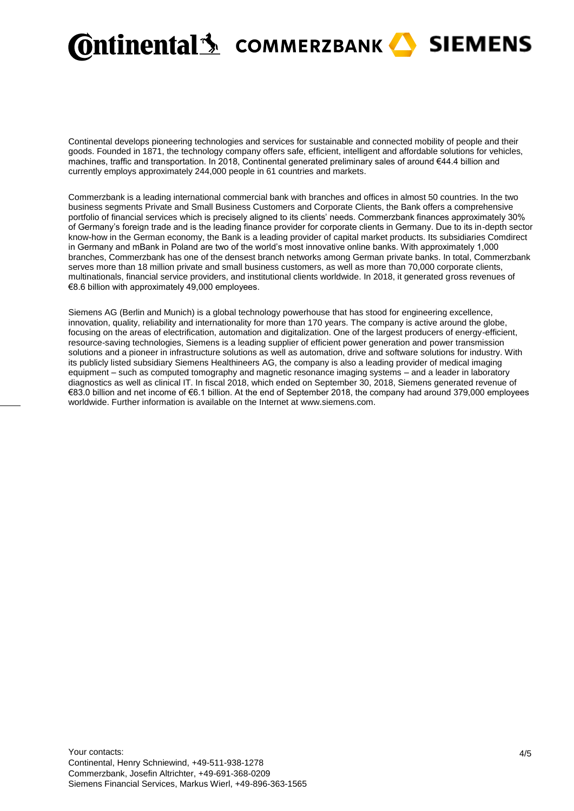

Continental develops pioneering technologies and services for sustainable and connected mobility of people and their goods. Founded in 1871, the technology company offers safe, efficient, intelligent and affordable solutions for vehicles, machines, traffic and transportation. In 2018, Continental generated preliminary sales of around €44.4 billion and currently employs approximately 244,000 people in 61 countries and markets.

Commerzbank is a leading international commercial bank with branches and offices in almost 50 countries. In the two business segments Private and Small Business Customers and Corporate Clients, the Bank offers a comprehensive portfolio of financial services which is precisely aligned to its clients' needs. Commerzbank finances approximately 30% of Germany's foreign trade and is the leading finance provider for corporate clients in Germany. Due to its in-depth sector know-how in the German economy, the Bank is a leading provider of capital market products. Its subsidiaries Comdirect in Germany and mBank in Poland are two of the world's most innovative online banks. With approximately 1,000 branches, Commerzbank has one of the densest branch networks among German private banks. In total, Commerzbank serves more than 18 million private and small business customers, as well as more than 70,000 corporate clients, multinationals, financial service providers, and institutional clients worldwide. In 2018, it generated gross revenues of €8.6 billion with approximately 49,000 employees.

Siemens AG (Berlin and Munich) is a global technology powerhouse that has stood for engineering excellence, innovation, quality, reliability and internationality for more than 170 years. The company is active around the globe, focusing on the areas of electrification, automation and digitalization. One of the largest producers of energy-efficient, resource-saving technologies, Siemens is a leading supplier of efficient power generation and power transmission solutions and a pioneer in infrastructure solutions as well as automation, drive and software solutions for industry. With its publicly listed subsidiary Siemens Healthineers AG, the company is also a leading provider of medical imaging equipment – such as computed tomography and magnetic resonance imaging systems – and a leader in laboratory diagnostics as well as clinical IT. In fiscal 2018, which ended on September 30, 2018, Siemens generated revenue of €83.0 billion and net income of €6.1 billion. At the end of September 2018, the company had around 379,000 employees worldwide. Further information is available on the Internet at [www.siemens.com.](http://www.siemens.com/)